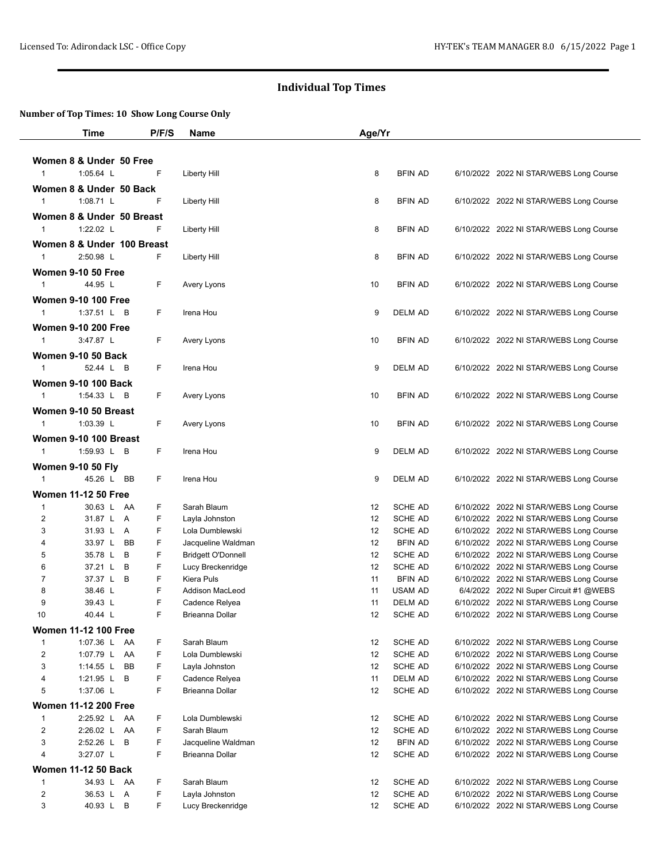|                     | Time                                      | P/F/S  | Name                            | Age/Yr   |                           |                                                                                    |
|---------------------|-------------------------------------------|--------|---------------------------------|----------|---------------------------|------------------------------------------------------------------------------------|
|                     |                                           |        |                                 |          |                           |                                                                                    |
|                     | Women 8 & Under 50 Free                   |        |                                 |          |                           |                                                                                    |
| $\mathbf{1}$        | 1:05.64 L                                 | F      | Liberty Hill                    | 8        | <b>BFIN AD</b>            | 6/10/2022 2022 NI STAR/WEBS Long Course                                            |
|                     | Women 8 & Under 50 Back                   |        |                                 |          |                           |                                                                                    |
| $\mathbf{1}$        | 1:08.71 L                                 | F      | Liberty Hill                    | 8        | <b>BFIN AD</b>            | 6/10/2022 2022 NI STAR/WEBS Long Course                                            |
|                     | Women 8 & Under 50 Breast                 |        |                                 |          |                           |                                                                                    |
| $\mathbf{1}$        | 1:22.02 L                                 | F      | Liberty Hill                    | 8        | <b>BFIN AD</b>            | 6/10/2022 2022 NI STAR/WEBS Long Course                                            |
|                     | Women 8 & Under 100 Breast                |        |                                 |          |                           |                                                                                    |
| $\mathbf{1}$        | 2:50.98 L                                 | F.     | Liberty Hill                    | 8        | <b>BFIN AD</b>            | 6/10/2022 2022 NI STAR/WEBS Long Course                                            |
|                     | <b>Women 9-10 50 Free</b>                 |        |                                 |          |                           |                                                                                    |
| $\mathbf{1}$        | 44.95 L                                   | F      | Avery Lyons                     | 10       | <b>BFIN AD</b>            | 6/10/2022 2022 NI STAR/WEBS Long Course                                            |
|                     |                                           |        |                                 |          |                           |                                                                                    |
| $\mathbf{1}$        | <b>Women 9-10 100 Free</b><br>1:37.51 L B | F      | Irena Hou                       | 9        | <b>DELM AD</b>            | 6/10/2022 2022 NI STAR/WEBS Long Course                                            |
|                     |                                           |        |                                 |          |                           |                                                                                    |
|                     | <b>Women 9-10 200 Free</b>                |        |                                 |          |                           |                                                                                    |
| $\mathbf{1}$        | 3:47.87 L                                 | F      | Avery Lyons                     | 10       | <b>BFIN AD</b>            | 6/10/2022 2022 NI STAR/WEBS Long Course                                            |
|                     | <b>Women 9-10 50 Back</b>                 |        |                                 |          |                           |                                                                                    |
| $\mathbf{1}$        | 52.44 L B                                 | F.     | Irena Hou                       | 9        | <b>DELM AD</b>            | 6/10/2022 2022 NI STAR/WEBS Long Course                                            |
|                     | <b>Women 9-10 100 Back</b>                |        |                                 |          |                           |                                                                                    |
| $\mathbf{1}$        | 1:54.33 L B                               | F      | Avery Lyons                     | 10       | <b>BFIN AD</b>            | 6/10/2022 2022 NI STAR/WEBS Long Course                                            |
|                     | Women 9-10 50 Breast                      |        |                                 |          |                           |                                                                                    |
| $\mathbf{1}$        | 1:03.39 L                                 | F      | Avery Lyons                     | 10       | <b>BFIN AD</b>            | 6/10/2022 2022 NI STAR/WEBS Long Course                                            |
|                     | Women 9-10 100 Breast                     |        |                                 |          |                           |                                                                                    |
| $\mathbf{1}$        | 1:59.93 L B                               | F      | Irena Hou                       | 9        | DELM AD                   | 6/10/2022 2022 NI STAR/WEBS Long Course                                            |
|                     | <b>Women 9-10 50 Fly</b>                  |        |                                 |          |                           |                                                                                    |
| $\mathbf{1}$        | 45.26 L BB                                | F      | Irena Hou                       | 9        | DELM AD                   | 6/10/2022 2022 NI STAR/WEBS Long Course                                            |
|                     | <b>Women 11-12 50 Free</b>                |        |                                 |          |                           |                                                                                    |
| $\mathbf{1}$        | 30.63 L AA                                | F      | Sarah Blaum                     | 12       | <b>SCHE AD</b>            | 6/10/2022 2022 NI STAR/WEBS Long Course                                            |
| $\overline{2}$      | 31.87 L A                                 | F      | Layla Johnston                  | 12       | <b>SCHE AD</b>            | 6/10/2022 2022 NI STAR/WEBS Long Course                                            |
| 3                   | 31.93 L A                                 | F      | Lola Dumblewski                 | 12       | SCHE AD                   | 6/10/2022 2022 NI STAR/WEBS Long Course                                            |
| 4                   | 33.97 L<br>BB                             | F      | Jacqueline Waldman              | 12       | <b>BFIN AD</b>            | 6/10/2022 2022 NI STAR/WEBS Long Course                                            |
| 5                   | 35.78 L B                                 | F      | <b>Bridgett O'Donnell</b>       | 12       | <b>SCHE AD</b>            | 6/10/2022 2022 NI STAR/WEBS Long Course                                            |
| 6                   | 37.21 L B                                 | F<br>F | Lucy Breckenridge<br>Kiera Puls | 12       | SCHE AD<br><b>BFIN AD</b> | 6/10/2022 2022 NI STAR/WEBS Long Course                                            |
| $\overline{7}$<br>8 | 37.37 L B<br>38.46 L                      | F      | <b>Addison MacLeod</b>          | 11<br>11 | <b>USAM AD</b>            | 6/10/2022 2022 NI STAR/WEBS Long Course<br>6/4/2022 2022 NI Super Circuit #1 @WEBS |
| 9                   | 39.43 L                                   | F      | Cadence Relyea                  | 11       | <b>DELM AD</b>            | 6/10/2022 2022 NI STAR/WEBS Long Course                                            |
| 10                  | 40.44 L                                   | F      | Brieanna Dollar                 | 12       | SCHE AD                   | 6/10/2022 2022 NI STAR/WEBS Long Course                                            |
|                     | <b>Women 11-12 100 Free</b>               |        |                                 |          |                           |                                                                                    |
| 1                   | 1:07.36 L AA                              | F      | Sarah Blaum                     | 12       | SCHE AD                   | 6/10/2022 2022 NI STAR/WEBS Long Course                                            |
| $\overline{2}$      | 1:07.79 L AA                              | F      | Lola Dumblewski                 | 12       | SCHE AD                   | 6/10/2022 2022 NI STAR/WEBS Long Course                                            |
| 3                   | 1:14.55 $L$<br><b>BB</b>                  | F      | Layla Johnston                  | 12       | SCHE AD                   | 6/10/2022 2022 NI STAR/WEBS Long Course                                            |
| 4                   | 1:21.95 L B                               | F      | Cadence Relyea                  | 11       | DELM AD                   | 6/10/2022 2022 NI STAR/WEBS Long Course                                            |
| 5                   | 1:37.06 L                                 | F      | Brieanna Dollar                 | 12       | <b>SCHE AD</b>            | 6/10/2022 2022 NI STAR/WEBS Long Course                                            |
|                     | <b>Women 11-12 200 Free</b>               |        |                                 |          |                           |                                                                                    |
| 1                   | 2:25.92 L AA                              | F      | Lola Dumblewski                 | 12       | SCHE AD                   | 6/10/2022 2022 NI STAR/WEBS Long Course                                            |
| $\overline{2}$      | 2:26.02 L AA                              | F      | Sarah Blaum                     | 12       | SCHE AD                   | 6/10/2022 2022 NI STAR/WEBS Long Course                                            |
| 3                   | 2:52.26 L B                               | F      | Jacqueline Waldman              | 12       | <b>BFIN AD</b>            | 6/10/2022 2022 NI STAR/WEBS Long Course                                            |
| 4                   | 3:27.07 L                                 | F      | Brieanna Dollar                 | 12       | SCHE AD                   | 6/10/2022 2022 NI STAR/WEBS Long Course                                            |
|                     | <b>Women 11-12 50 Back</b>                |        |                                 |          |                           |                                                                                    |
| $\mathbf{1}$        | 34.93 L AA                                | F      | Sarah Blaum                     | 12       | SCHE AD                   | 6/10/2022 2022 NI STAR/WEBS Long Course                                            |
| $\overline{2}$      | 36.53 L A                                 | F      | Layla Johnston                  | 12       | SCHE AD                   | 6/10/2022 2022 NI STAR/WEBS Long Course                                            |
| 3                   | 40.93 L B                                 | F      | Lucy Breckenridge               | 12       | SCHE AD                   | 6/10/2022 2022 NI STAR/WEBS Long Course                                            |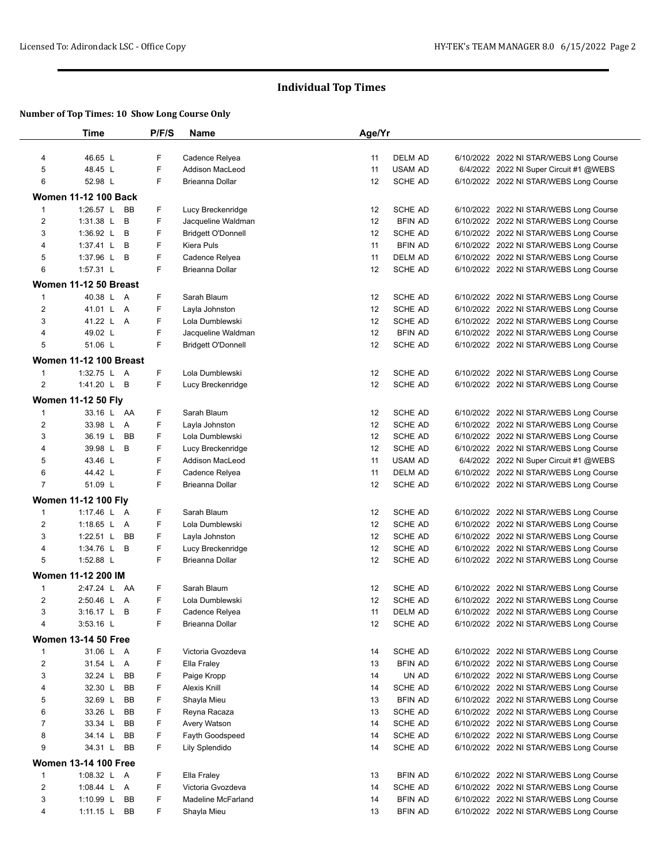|                | Time                          | P/F/S | Name                      | Age/Yr |                |                                                                                    |
|----------------|-------------------------------|-------|---------------------------|--------|----------------|------------------------------------------------------------------------------------|
|                |                               |       |                           |        |                |                                                                                    |
| 4              | 46.65 L                       | F     | Cadence Relyea            | 11     | <b>DELM AD</b> | 6/10/2022 2022 NI STAR/WEBS Long Course                                            |
| 5              | 48.45 L                       | F     | Addison MacLeod           | 11     | <b>USAM AD</b> | 6/4/2022 2022 NI Super Circuit #1 @WEBS                                            |
| 6              | 52.98 L                       | F     | Brieanna Dollar           | 12     | <b>SCHE AD</b> | 6/10/2022 2022 NI STAR/WEBS Long Course                                            |
|                | <b>Women 11-12 100 Back</b>   |       |                           |        |                |                                                                                    |
|                | 1:26.57 L BB                  | F     |                           |        | SCHE AD        |                                                                                    |
| $\mathbf 1$    | В                             | F     | Lucy Breckenridge         | 12     | <b>BFIN AD</b> | 6/10/2022 2022 NI STAR/WEBS Long Course                                            |
| 2              | $1:31.38$ L                   | F     | Jacqueline Waldman        | 12     |                | 6/10/2022 2022 NI STAR/WEBS Long Course                                            |
| 3              | 1:36.92 $L$<br>B              |       | <b>Bridgett O'Donnell</b> | 12     | SCHE AD        | 6/10/2022 2022 NI STAR/WEBS Long Course                                            |
| 4              | 1:37.41 L B                   | F     | Kiera Puls                | 11     | <b>BFIN AD</b> | 6/10/2022 2022 NI STAR/WEBS Long Course                                            |
| 5              | 1:37.96 L B                   | F     | Cadence Relyea            | 11     | <b>DELM AD</b> | 6/10/2022 2022 NI STAR/WEBS Long Course                                            |
| 6              | 1:57.31 L                     | F     | Brieanna Dollar           | 12     | <b>SCHE AD</b> | 6/10/2022 2022 NI STAR/WEBS Long Course                                            |
|                | Women 11-12 50 Breast         |       |                           |        |                |                                                                                    |
| 1              | 40.38 L A                     | F     | Sarah Blaum               | 12     | <b>SCHE AD</b> | 6/10/2022 2022 NI STAR/WEBS Long Course                                            |
| 2              | 41.01 L A                     | F     | Layla Johnston            | 12     | SCHE AD        | 6/10/2022 2022 NI STAR/WEBS Long Course                                            |
| 3              | 41.22 L A                     | F     | Lola Dumblewski           | 12     | SCHE AD        | 6/10/2022 2022 NI STAR/WEBS Long Course                                            |
| 4              | 49.02 L                       | F     | Jacqueline Waldman        | 12     | <b>BFIN AD</b> | 6/10/2022 2022 NI STAR/WEBS Long Course                                            |
| 5              | 51.06 L                       | F     | <b>Bridgett O'Donnell</b> | 12     | SCHE AD        | 6/10/2022 2022 NI STAR/WEBS Long Course                                            |
|                | <b>Women 11-12 100 Breast</b> |       |                           |        |                |                                                                                    |
| 1              | 1:32.75 L A                   | F     | Lola Dumblewski           | 12     | SCHE AD        | 6/10/2022 2022 NI STAR/WEBS Long Course                                            |
| 2              | 1:41.20 L B                   | F     | Lucy Breckenridge         | 12     | <b>SCHE AD</b> | 6/10/2022 2022 NI STAR/WEBS Long Course                                            |
|                | <b>Women 11-12 50 Fly</b>     |       |                           |        |                |                                                                                    |
| 1              | 33.16 L AA                    | F     | Sarah Blaum               | 12     | <b>SCHE AD</b> | 6/10/2022 2022 NI STAR/WEBS Long Course                                            |
| 2              | 33.98 L A                     | F     | Layla Johnston            | 12     | <b>SCHE AD</b> | 6/10/2022 2022 NI STAR/WEBS Long Course                                            |
| 3              | 36.19 L<br><b>BB</b>          | F     | Lola Dumblewski           | 12     | SCHE AD        | 6/10/2022 2022 NI STAR/WEBS Long Course                                            |
| 4              | 39.98 L B                     | F     | Lucy Breckenridge         | 12     | <b>SCHE AD</b> | 6/10/2022 2022 NI STAR/WEBS Long Course                                            |
| 5              | 43.46 L                       | F     | Addison MacLeod           | 11     | <b>USAM AD</b> | 6/4/2022 2022 NI Super Circuit #1 @WEBS                                            |
| 6              | 44.42 L                       | F     | Cadence Relyea            | 11     | DELM AD        |                                                                                    |
| $\overline{7}$ | 51.09 L                       | F     | Brieanna Dollar           | 12     | <b>SCHE AD</b> | 6/10/2022 2022 NI STAR/WEBS Long Course<br>6/10/2022 2022 NI STAR/WEBS Long Course |
|                |                               |       |                           |        |                |                                                                                    |
|                | <b>Women 11-12 100 Fly</b>    |       |                           |        |                |                                                                                    |
| 1              | 1:17.46 L A                   | F     | Sarah Blaum               | 12     | <b>SCHE AD</b> | 6/10/2022 2022 NI STAR/WEBS Long Course                                            |
| 2              | 1:18.65 L A                   | F     | Lola Dumblewski           | 12     | <b>SCHE AD</b> | 6/10/2022 2022 NI STAR/WEBS Long Course                                            |
| 3              | 1:22.51 L BB                  | F     | Layla Johnston            | 12     | <b>SCHE AD</b> | 6/10/2022 2022 NI STAR/WEBS Long Course                                            |
| 4              | 1:34.76 L B                   | F     | Lucy Breckenridge         | 12     | <b>SCHE AD</b> | 6/10/2022 2022 NI STAR/WEBS Long Course                                            |
| 5              | 1:52.88 L                     | F     | Brieanna Dollar           | 12     | <b>SCHE AD</b> | 6/10/2022 2022 NI STAR/WEBS Long Course                                            |
|                | <b>Women 11-12 200 IM</b>     |       |                           |        |                |                                                                                    |
| 1              | 2:47.24 L AA                  | F     | Sarah Blaum               | 12     | <b>SCHE AD</b> | 6/10/2022 2022 NI STAR/WEBS Long Course                                            |
| 2              | 2:50.46 L A                   | F     | Lola Dumblewski           | 12     | <b>SCHE AD</b> | 6/10/2022 2022 NI STAR/WEBS Long Course                                            |
| 3              | $3:16.17$ L<br>B              | F     | Cadence Relyea            | 11     | <b>DELM AD</b> | 6/10/2022 2022 NI STAR/WEBS Long Course                                            |
| 4              | 3:53.16 L                     | F     | Brieanna Dollar           | 12     | SCHE AD        | 6/10/2022 2022 NI STAR/WEBS Long Course                                            |
|                | <b>Women 13-14 50 Free</b>    |       |                           |        |                |                                                                                    |
| 1              | 31.06 L A                     | F     | Victoria Gvozdeva         | 14     | SCHE AD        | 6/10/2022 2022 NI STAR/WEBS Long Course                                            |
| $\overline{c}$ | 31.54 L A                     | F     | Ella Fraley               | 13     | <b>BFIN AD</b> | 6/10/2022 2022 NI STAR/WEBS Long Course                                            |
| 3              | 32.24 L<br>BB                 | F     | Paige Kropp               | 14     | UN AD          | 6/10/2022 2022 NI STAR/WEBS Long Course                                            |
| 4              | 32.30 L<br>BB                 | F     | Alexis Knill              | 14     | SCHE AD        | 6/10/2022 2022 NI STAR/WEBS Long Course                                            |
| 5              | 32.69 L<br><b>BB</b>          | F     | Shayla Mieu               | 13     | <b>BFIN AD</b> | 6/10/2022 2022 NI STAR/WEBS Long Course                                            |
| 6              | 33.26 L<br>BB                 | F     | Reyna Racaza              | 13     | SCHE AD        | 6/10/2022 2022 NI STAR/WEBS Long Course                                            |
| 7              | 33.34 L<br>BB                 | F     | Avery Watson              | 14     | SCHE AD        | 6/10/2022 2022 NI STAR/WEBS Long Course                                            |
| 8              | 34.14 L<br>BB                 | F     | Fayth Goodspeed           | 14     | SCHE AD        | 6/10/2022 2022 NI STAR/WEBS Long Course                                            |
| 9              | 34.31 L<br>BB                 | F     | Lily Splendido            | 14     | <b>SCHE AD</b> | 6/10/2022 2022 NI STAR/WEBS Long Course                                            |
|                |                               |       |                           |        |                |                                                                                    |
|                | <b>Women 13-14 100 Free</b>   |       |                           |        |                |                                                                                    |
| $\mathbf{1}$   | 1:08.32 L A                   | F     | Ella Fraley               | 13     | <b>BFIN AD</b> | 6/10/2022 2022 NI STAR/WEBS Long Course                                            |
| $\overline{c}$ | 1:08.44 L A                   | F     | Victoria Gvozdeva         | 14     | SCHE AD        | 6/10/2022 2022 NI STAR/WEBS Long Course                                            |
| 3              | 1:10.99 $L$<br>BB             | F     | Madeline McFarland        | 14     | <b>BFIN AD</b> | 6/10/2022 2022 NI STAR/WEBS Long Course                                            |
| 4              | $1:11.15$ L<br>BB             | F     | Shayla Mieu               | 13     | <b>BFIN AD</b> | 6/10/2022 2022 NI STAR/WEBS Long Course                                            |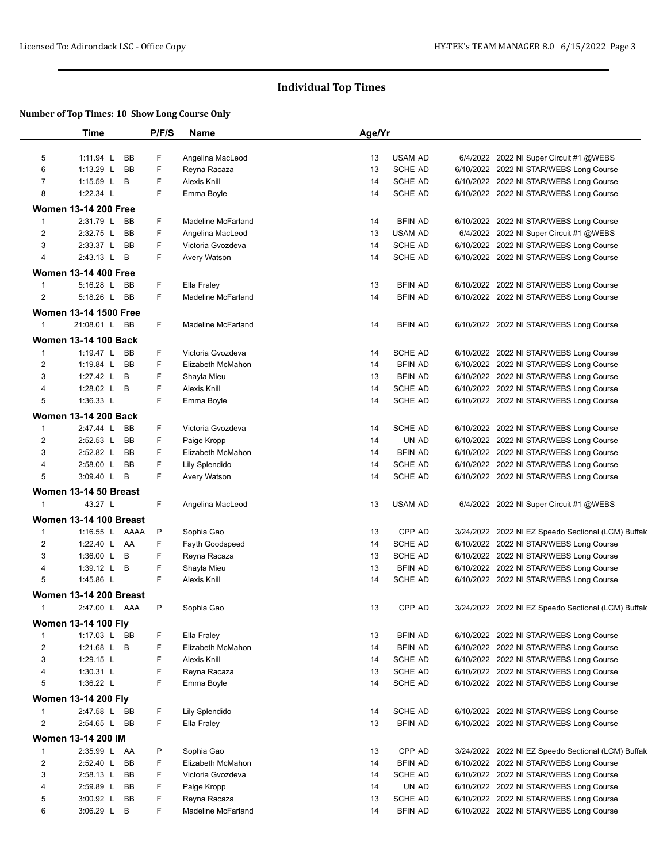|                | <b>Time</b>                                | P/F/S | <b>Name</b>               | Age/Yr |                |                                                     |
|----------------|--------------------------------------------|-------|---------------------------|--------|----------------|-----------------------------------------------------|
|                |                                            |       |                           |        |                |                                                     |
| 5              | 1:11.94 L<br><b>BB</b>                     | F     | Angelina MacLeod          | 13     | <b>USAM AD</b> | 6/4/2022 2022 NI Super Circuit #1 @WEBS             |
| 6              | 1:13.29 $L$<br><b>BB</b>                   | F     | Reyna Racaza              | 13     | SCHE AD        | 6/10/2022 2022 NI STAR/WEBS Long Course             |
| 7              | 1:15.59 L B                                | F     | Alexis Knill              | 14     | SCHE AD        | 6/10/2022 2022 NI STAR/WEBS Long Course             |
| 8              | 1:22.34 L                                  | F     | Emma Boyle                | 14     | <b>SCHE AD</b> | 6/10/2022 2022 NI STAR/WEBS Long Course             |
|                | <b>Women 13-14 200 Free</b>                |       |                           |        |                |                                                     |
| 1              | 2:31.79 L BB                               | F     | <b>Madeline McFarland</b> | 14     | <b>BFIN AD</b> | 6/10/2022 2022 NI STAR/WEBS Long Course             |
| 2              | 2:32.75 L<br><b>BB</b>                     | F     | Angelina MacLeod          | 13     | <b>USAM AD</b> | 6/4/2022 2022 NI Super Circuit #1 @WEBS             |
| 3              | 2:33.37 L<br><b>BB</b>                     | F     | Victoria Gvozdeva         | 14     | <b>SCHE AD</b> | 6/10/2022 2022 NI STAR/WEBS Long Course             |
| 4              | $2:43.13$ L<br>B                           | F     | Avery Watson              | 14     | SCHE AD        | 6/10/2022 2022 NI STAR/WEBS Long Course             |
|                | <b>Women 13-14 400 Free</b>                |       |                           |        |                |                                                     |
| 1              | $5:16.28$ L<br>BB                          | F     | Ella Fraley               | 13     | <b>BFIN AD</b> | 6/10/2022 2022 NI STAR/WEBS Long Course             |
| $\overline{2}$ | 5:18.26 L<br><b>BB</b>                     | F.    | <b>Madeline McFarland</b> | 14     | <b>BFIN AD</b> | 6/10/2022 2022 NI STAR/WEBS Long Course             |
|                |                                            |       |                           |        |                |                                                     |
|                | <b>Women 13-14 1500 Free</b>               |       |                           |        |                |                                                     |
| 1              | 21:08.01 L BB                              | F     | <b>Madeline McFarland</b> | 14     | <b>BFIN AD</b> | 6/10/2022 2022 NI STAR/WEBS Long Course             |
|                | <b>Women 13-14 100 Back</b>                |       |                           |        |                |                                                     |
| $\mathbf{1}$   | 1:19.47 L BB                               | F     | Victoria Gvozdeva         | 14     | SCHE AD        | 6/10/2022 2022 NI STAR/WEBS Long Course             |
| 2              | 1:19.84 L<br><b>BB</b>                     | F     | Elizabeth McMahon         | 14     | <b>BFIN AD</b> | 6/10/2022 2022 NI STAR/WEBS Long Course             |
| 3              | 1:27.42 L<br>B                             | F     | Shayla Mieu               | 13     | <b>BFIN AD</b> | 6/10/2022 2022 NI STAR/WEBS Long Course             |
| 4              | 1:28.02 L<br>B                             | F     | Alexis Knill              | 14     | <b>SCHE AD</b> | 6/10/2022 2022 NI STAR/WEBS Long Course             |
| 5              | 1:36.33 L                                  | F     | Emma Boyle                | 14     | SCHE AD        | 6/10/2022 2022 NI STAR/WEBS Long Course             |
|                | <b>Women 13-14 200 Back</b>                |       |                           |        |                |                                                     |
| 1              | 2:47.44 L<br><b>BB</b>                     | F     | Victoria Gvozdeva         | 14     | SCHE AD        | 6/10/2022 2022 NI STAR/WEBS Long Course             |
| 2              | 2:52.53 L<br><b>BB</b>                     | F     | Paige Kropp               | 14     | UN AD          | 6/10/2022 2022 NI STAR/WEBS Long Course             |
| 3              | 2:52.82 L<br><b>BB</b>                     | F     | Elizabeth McMahon         | 14     | <b>BFIN AD</b> | 6/10/2022 2022 NI STAR/WEBS Long Course             |
| 4              | 2:58.00 L<br>BB                            | F     | Lily Splendido            | 14     | SCHE AD        | 6/10/2022 2022 NI STAR/WEBS Long Course             |
| 5              | 3:09.40 L B                                | F     | Avery Watson              | 14     | SCHE AD        | 6/10/2022 2022 NI STAR/WEBS Long Course             |
|                |                                            |       |                           |        |                |                                                     |
|                | Women 13-14 50 Breast                      |       |                           |        |                |                                                     |
| $\mathbf{1}$   | 43.27 L                                    | F     | Angelina MacLeod          | 13     | <b>USAM AD</b> | 6/4/2022 2022 NI Super Circuit #1 @WEBS             |
|                | <b>Women 13-14 100 Breast</b>              |       |                           |        |                |                                                     |
| $\mathbf{1}$   | 1:16.55 L AAAA                             | P     | Sophia Gao                | 13     | CPP AD         | 3/24/2022 2022 NI EZ Speedo Sectional (LCM) Buffald |
| 2              | 1:22.40 L AA                               | F     | Fayth Goodspeed           | 14     | <b>SCHE AD</b> | 6/10/2022 2022 NI STAR/WEBS Long Course             |
| 3              | 1:36.00 L B                                | F     | Reyna Racaza              | 13     | SCHE AD        | 6/10/2022 2022 NI STAR/WEBS Long Course             |
| 4              | 1:39.12 L B                                | F     | Shayla Mieu               | 13     | <b>BFIN AD</b> | 6/10/2022 2022 NI STAR/WEBS Long Course             |
| 5              | 1:45.86 L                                  | F     | Alexis Knill              | 14     | SCHE AD        | 6/10/2022 2022 NI STAR/WEBS Long Course             |
|                | <b>Women 13-14 200 Breast</b>              |       |                           |        |                |                                                     |
| 1              | 2:47.00 L AAA                              | P     | Sophia Gao                | 13     | CPP AD         | 3/24/2022 2022 NI EZ Speedo Sectional (LCM) Buffald |
|                |                                            |       |                           |        |                |                                                     |
|                | <b>Women 13-14 100 Fly</b><br>1:17.03 L BB |       |                           |        | <b>BFIN AD</b> |                                                     |
| 1              |                                            | F     | Ella Fraley               | 13     |                | 6/10/2022 2022 NI STAR/WEBS Long Course             |
| 2              | 1:21.68 L B                                | F     | Elizabeth McMahon         | 14     | <b>BFIN AD</b> | 6/10/2022 2022 NI STAR/WEBS Long Course             |
| 3              | 1:29.15 L                                  | F     | Alexis Knill              | 14     | SCHE AD        | 6/10/2022 2022 NI STAR/WEBS Long Course             |
| 4              | 1:30.31 L                                  | F     | Reyna Racaza              | 13     | SCHE AD        | 6/10/2022 2022 NI STAR/WEBS Long Course             |
| 5              | 1:36.22 L                                  | F     | Emma Boyle                | 14     | SCHE AD        | 6/10/2022 2022 NI STAR/WEBS Long Course             |
|                | <b>Women 13-14 200 Fly</b>                 |       |                           |        |                |                                                     |
| $\mathbf{1}$   | 2:47.58 L BB                               | F     | Lily Splendido            | 14     | SCHE AD        | 6/10/2022 2022 NI STAR/WEBS Long Course             |
| $\overline{2}$ | 2:54.65 L BB                               | F     | Ella Fraley               | 13     | <b>BFIN AD</b> | 6/10/2022 2022 NI STAR/WEBS Long Course             |
|                | Women 13-14 200 IM                         |       |                           |        |                |                                                     |
| $\mathbf{1}$   | 2:35.99 L AA                               | P     | Sophia Gao                | 13     | CPP AD         | 3/24/2022 2022 NI EZ Speedo Sectional (LCM) Buffald |
| $\overline{2}$ | BB<br>2:52.40 L                            | F     | Elizabeth McMahon         | 14     | <b>BFIN AD</b> | 6/10/2022 2022 NI STAR/WEBS Long Course             |
| 3              | 2:58.13 L BB                               | F     | Victoria Gvozdeva         | 14     | SCHE AD        | 6/10/2022 2022 NI STAR/WEBS Long Course             |
| 4              | 2:59.89 L<br>BB                            | F     | Paige Kropp               | 14     | UN AD          | 6/10/2022 2022 NI STAR/WEBS Long Course             |
| 5              | 3:00.92 L BB                               | F     | Reyna Racaza              | 13     | SCHE AD        | 6/10/2022 2022 NI STAR/WEBS Long Course             |
| 6              | 3:06.29 L B                                | F     | Madeline McFarland        | 14     | <b>BFIN AD</b> | 6/10/2022 2022 NI STAR/WEBS Long Course             |
|                |                                            |       |                           |        |                |                                                     |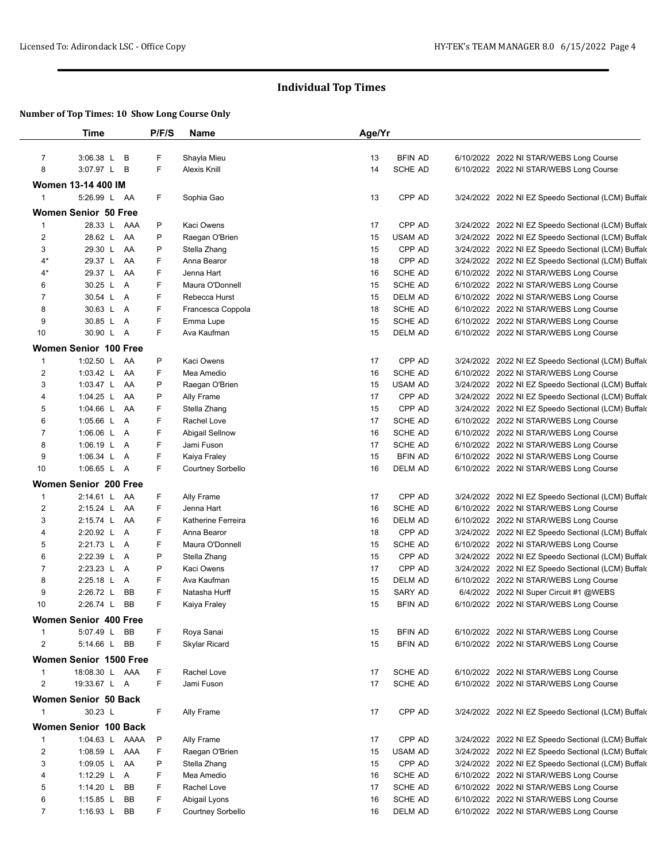|                | Time                                   | P/F/S  | <b>Name</b>                   | Age/Yr   |                          |                                                                                                            |
|----------------|----------------------------------------|--------|-------------------------------|----------|--------------------------|------------------------------------------------------------------------------------------------------------|
| $\overline{7}$ | 3:06.38 L<br>В                         | F      | Shayla Mieu                   | 13       | <b>BFIN AD</b>           | 6/10/2022 2022 NI STAR/WEBS Long Course                                                                    |
| 8              | 3:07.97 L<br>В                         | F      | <b>Alexis Knill</b>           | 14       | SCHE AD                  | 6/10/2022 2022 NI STAR/WEBS Long Course                                                                    |
|                |                                        |        |                               |          |                          |                                                                                                            |
|                | Women 13-14 400 IM<br>5:26.99 L AA     |        |                               |          |                          |                                                                                                            |
| 1              |                                        | F      | Sophia Gao                    | 13       | CPP AD                   | 3/24/2022 2022 NI EZ Speedo Sectional (LCM) Buffald                                                        |
|                | <b>Women Senior 50 Free</b>            |        |                               |          |                          |                                                                                                            |
| 1              | 28.33 L AAA                            | P      | Kaci Owens                    | 17       | CPP AD                   | 3/24/2022 2022 NI EZ Speedo Sectional (LCM) Buffald                                                        |
| $\overline{2}$ | 28.62 L AA                             | P      | Raegan O'Brien                | 15       | USAM AD                  | 3/24/2022 2022 NI EZ Speedo Sectional (LCM) Buffald                                                        |
| 3              | 29.30 L<br>AA                          | P      | Stella Zhang                  | 15       | CPP AD                   | 3/24/2022 2022 NI EZ Speedo Sectional (LCM) Buffald                                                        |
| 4*             | 29.37 L<br>AA                          | F      | Anna Bearor                   | 18       | CPP AD                   | 3/24/2022 2022 NI EZ Speedo Sectional (LCM) Buffald                                                        |
| 4*             | 29.37 L<br>AA                          | F<br>F | Jenna Hart<br>Maura O'Donnell | 16       | SCHE AD<br>SCHE AD       | 6/10/2022 2022 NI STAR/WEBS Long Course<br>6/10/2022 2022 NI STAR/WEBS Long Course                         |
| 6<br>7         | 30.25 L<br>Α<br>30.54 L A              | F      | Rebecca Hurst                 | 15<br>15 | <b>DELM AD</b>           |                                                                                                            |
| 8              | 30.63 L A                              | F      | Francesca Coppola             | 18       | SCHE AD                  | 6/10/2022 2022 NI STAR/WEBS Long Course<br>6/10/2022 2022 NI STAR/WEBS Long Course                         |
| 9              | 30.85 L A                              | F      | Emma Lupe                     | 15       | SCHE AD                  | 6/10/2022 2022 NI STAR/WEBS Long Course                                                                    |
| 10             | 30.90 L A                              | F      | Ava Kaufman                   | 15       | DELM AD                  | 6/10/2022 2022 NI STAR/WEBS Long Course                                                                    |
|                |                                        |        |                               |          |                          |                                                                                                            |
|                | <b>Women Senior 100 Free</b>           |        |                               |          |                          |                                                                                                            |
| 1              | 1:02.50 L AA                           | P      | Kaci Owens                    | 17       | CPP AD                   | 3/24/2022 2022 NI EZ Speedo Sectional (LCM) Buffald                                                        |
| $\overline{c}$ | 1:03.42 L<br>AA                        | F      | Mea Amedio                    | 16       | <b>SCHE AD</b>           | 6/10/2022 2022 NI STAR/WEBS Long Course                                                                    |
| 3<br>4         | 1:03.47 $L$<br>AA<br>1:04.25 $L$<br>AA | P<br>P | Raegan O'Brien                | 15<br>17 | <b>USAM AD</b><br>CPP AD | 3/24/2022 2022 NI EZ Speedo Sectional (LCM) Buffald<br>3/24/2022 2022 NI EZ Speedo Sectional (LCM) Buffald |
| 5              | 1:04.66 L<br>AA                        | F      | Ally Frame<br>Stella Zhang    | 15       | CPP AD                   | 3/24/2022 2022 NI EZ Speedo Sectional (LCM) Buffald                                                        |
| 6              | 1:05.66 L A                            | F      | Rachel Love                   | 17       | SCHE AD                  | 6/10/2022 2022 NI STAR/WEBS Long Course                                                                    |
| 7              | 1:06.06 L A                            | F      | Abigail Sellnow               | 16       | SCHE AD                  | 6/10/2022 2022 NI STAR/WEBS Long Course                                                                    |
| 8              | 1:06.19 L A                            | F      | Jami Fuson                    | 17       | SCHE AD                  | 6/10/2022 2022 NI STAR/WEBS Long Course                                                                    |
| 9              | 1:06.34 L A                            | F      | Kaiya Fraley                  | 15       | <b>BFIN AD</b>           | 6/10/2022 2022 NI STAR/WEBS Long Course                                                                    |
| 10             | 1:06.65 L A                            | F      | Courtney Sorbello             | 16       | <b>DELM AD</b>           | 6/10/2022 2022 NI STAR/WEBS Long Course                                                                    |
|                | <b>Women Senior 200 Free</b>           |        |                               |          |                          |                                                                                                            |
| $\mathbf{1}$   | 2:14.61 L AA                           | F      | Ally Frame                    | 17       | CPP AD                   | 3/24/2022 2022 NI EZ Speedo Sectional (LCM) Buffald                                                        |
| $\sqrt{2}$     | 2:15.24 L<br>AA                        | F      | Jenna Hart                    | 16       | SCHE AD                  | 6/10/2022 2022 NI STAR/WEBS Long Course                                                                    |
| 3              | 2:15.74 L<br>AA                        | F      | Katherine Ferreira            | 16       | <b>DELM AD</b>           | 6/10/2022 2022 NI STAR/WEBS Long Course                                                                    |
| 4              | 2:20.92 L A                            | F      | Anna Bearor                   | 18       | CPP AD                   | 3/24/2022 2022 NI EZ Speedo Sectional (LCM) Buffald                                                        |
| 5              | 2:21.73 L A                            | F      | Maura O'Donnell               | 15       | SCHE AD                  | 6/10/2022 2022 NI STAR/WEBS Long Course                                                                    |
| 6              | 2:22.39 L A                            | P      | Stella Zhang                  | 15       | CPP AD                   | 3/24/2022 2022 NI EZ Speedo Sectional (LCM) Buffald                                                        |
| $\overline{7}$ | 2:23.23 L A                            | P      | Kaci Owens                    | 17       | CPP AD                   | 3/24/2022 2022 NI EZ Speedo Sectional (LCM) Buffald                                                        |
| 8              | 2:25.18 L A                            | F      | Ava Kaufman                   | 15       | DELM AD                  | 6/10/2022 2022 NI STAR/WEBS Long Course                                                                    |
| 9              | 2:26.72 L<br>BB                        | F      | Natasha Hurff                 | 15       | SARY AD                  | 6/4/2022 2022 NI Super Circuit #1 @WEBS                                                                    |
| 10             | 2:26.74 L<br>BB                        | F      | Kaiya Fraley                  | 15       | <b>BFIN AD</b>           | 6/10/2022 2022 NI STAR/WEBS Long Course                                                                    |
|                | Women Senior 400 Free                  |        |                               |          |                          |                                                                                                            |
| 1              | 5:07.49 L BB                           | F      | Roya Sanai                    | 15       | <b>BFIN AD</b>           | 6/10/2022 2022 NI STAR/WEBS Long Course                                                                    |
| 2              | 5:14.66 L BB                           | F      | <b>Skylar Ricard</b>          | 15       | <b>BFIN AD</b>           | 6/10/2022 2022 NI STAR/WEBS Long Course                                                                    |
|                | Women Senior 1500 Free                 |        |                               |          |                          |                                                                                                            |
| 1              | 18:08.30 L AAA                         | F      | Rachel Love                   | 17       | SCHE AD                  | 6/10/2022 2022 NI STAR/WEBS Long Course                                                                    |
| $\overline{2}$ | 19:33.67 L A                           | F      | Jami Fuson                    | 17       | SCHE AD                  | 6/10/2022 2022 NI STAR/WEBS Long Course                                                                    |
|                |                                        |        |                               |          |                          |                                                                                                            |
|                | Women Senior 50 Back                   |        |                               |          |                          |                                                                                                            |
| 1              | 30.23 L                                | F      | Ally Frame                    | 17       | CPP AD                   | 3/24/2022 2022 NI EZ Speedo Sectional (LCM) Buffald                                                        |
|                | Women Senior 100 Back                  |        |                               |          |                          |                                                                                                            |
| $\mathbf{1}$   | 1:04.63 L AAAA                         | P      | Ally Frame                    | 17       | CPP AD                   | 3/24/2022 2022 NI EZ Speedo Sectional (LCM) Buffald                                                        |
| $\overline{c}$ | 1:08.59 L AAA                          | F      | Raegan O'Brien                | 15       | <b>USAM AD</b>           | 3/24/2022 2022 NI EZ Speedo Sectional (LCM) Buffald                                                        |
| 3              | 1:09.05 L AA                           | P      | Stella Zhang                  | 15       | CPP AD                   | 3/24/2022 2022 NI EZ Speedo Sectional (LCM) Buffald                                                        |
| 4              | 1:12.29 L A                            | F      | Mea Amedio                    | 16       | SCHE AD                  | 6/10/2022 2022 NI STAR/WEBS Long Course                                                                    |
| 5              | 1:14.20 L<br>BB                        | F      | Rachel Love                   | 17       | SCHE AD                  | 6/10/2022 2022 NI STAR/WEBS Long Course                                                                    |
| 6              | 1:15.85 L<br>BB                        | F      | Abigail Lyons                 | 16       | SCHE AD                  | 6/10/2022 2022 NI STAR/WEBS Long Course                                                                    |
| 7              | 1:16.93 L<br>BB                        | F      | Courtney Sorbello             | 16       | DELM AD                  | 6/10/2022 2022 NI STAR/WEBS Long Course                                                                    |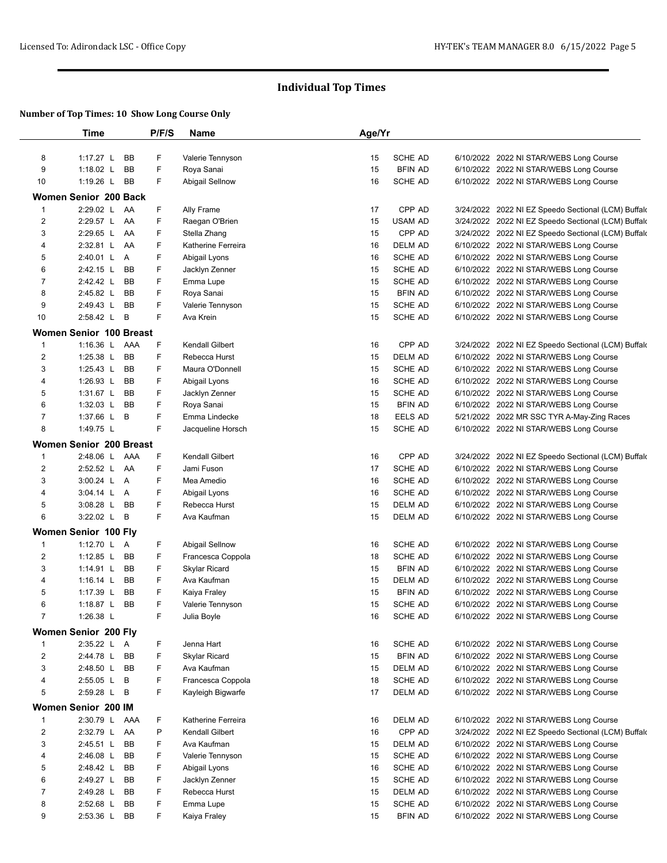|                         | Time                           | P/F/S | <b>Name</b>            | Age/Yr |                |                                                     |
|-------------------------|--------------------------------|-------|------------------------|--------|----------------|-----------------------------------------------------|
|                         |                                |       |                        |        |                |                                                     |
| 8                       | 1:17.27 L BB                   | F     | Valerie Tennyson       | 15     | SCHE AD        | 6/10/2022 2022 NI STAR/WEBS Long Course             |
| 9                       | 1:18.02 $L$<br>BB              | F     | Roya Sanai             | 15     | <b>BFIN AD</b> | 6/10/2022 2022 NI STAR/WEBS Long Course             |
| 10                      | 1:19.26 L BB                   | F     | Abigail Sellnow        | 16     | SCHE AD        | 6/10/2022 2022 NI STAR/WEBS Long Course             |
|                         | Women Senior 200 Back          |       |                        |        |                |                                                     |
| 1                       | 2:29.02 L AA                   | F     | Ally Frame             | 17     | CPP AD         | 3/24/2022 2022 NI EZ Speedo Sectional (LCM) Buffald |
| 2                       | 2:29.57 L AA                   | F     | Raegan O'Brien         | 15     | USAM AD        | 3/24/2022 2022 NI EZ Speedo Sectional (LCM) Buffald |
| 3                       | 2:29.65 L AA                   | F     | Stella Zhang           | 15     | CPP AD         | 3/24/2022 2022 NI EZ Speedo Sectional (LCM) Buffald |
| 4                       | 2:32.81 L<br>AA                | F     | Katherine Ferreira     | 16     | <b>DELM AD</b> | 6/10/2022 2022 NI STAR/WEBS Long Course             |
| 5                       | 2:40.01 L A                    | F     | Abigail Lyons          | 16     | SCHE AD        | 6/10/2022 2022 NI STAR/WEBS Long Course             |
| 6                       | 2:42.15 L<br>BB                | F     | Jacklyn Zenner         | 15     | SCHE AD        | 6/10/2022 2022 NI STAR/WEBS Long Course             |
| $\overline{7}$          | 2:42.42 L<br>BB                | F     | Emma Lupe              | 15     | SCHE AD        | 6/10/2022 2022 NI STAR/WEBS Long Course             |
| 8                       | 2:45.82 L<br>BB                | F     | Roya Sanai             | 15     | <b>BFIN AD</b> | 6/10/2022 2022 NI STAR/WEBS Long Course             |
| 9                       | 2:49.43 L BB                   | F     | Valerie Tennyson       | 15     | SCHE AD        | 6/10/2022 2022 NI STAR/WEBS Long Course             |
| 10                      | 2:58.42 L B                    | F     | Ava Krein              | 15     | SCHE AD        | 6/10/2022 2022 NI STAR/WEBS Long Course             |
|                         | <b>Women Senior 100 Breast</b> |       |                        |        |                |                                                     |
| $\mathbf{1}$            | 1:16.36 L AAA                  | F     | Kendall Gilbert        | 16     | CPP AD         | 3/24/2022 2022 NI EZ Speedo Sectional (LCM) Buffald |
| $\overline{\mathbf{c}}$ | 1:25.38 L BB                   | F     | Rebecca Hurst          | 15     | DELM AD        | 6/10/2022 2022 NI STAR/WEBS Long Course             |
| 3                       | 1:25.43 L<br>BB                | F     | Maura O'Donnell        | 15     | SCHE AD        | 6/10/2022 2022 NI STAR/WEBS Long Course             |
| 4                       | 1:26.93 L<br>BB                | F     | Abigail Lyons          | 16     | SCHE AD        | 6/10/2022 2022 NI STAR/WEBS Long Course             |
| 5                       | 1:31.67 L<br>BB                | F     | Jacklyn Zenner         | 15     | SCHE AD        | 6/10/2022 2022 NI STAR/WEBS Long Course             |
| 6                       | 1:32.03 L<br>BB                | F     | Roya Sanai             | 15     | <b>BFIN AD</b> | 6/10/2022 2022 NI STAR/WEBS Long Course             |
| 7                       | 1:37.66 L B                    | F     | Emma Lindecke          | 18     | EELS AD        | 5/21/2022 2022 MR SSC TYR A-May-Zing Races          |
| 8                       | 1:49.75 L                      | F     | Jacqueline Horsch      | 15     | SCHE AD        | 6/10/2022 2022 NI STAR/WEBS Long Course             |
|                         |                                |       |                        |        |                |                                                     |
|                         | <b>Women Senior 200 Breast</b> |       |                        |        |                |                                                     |
| $\mathbf{1}$            | 2:48.06 L AAA                  | F     | <b>Kendall Gilbert</b> | 16     | CPP AD         | 3/24/2022 2022 NI EZ Speedo Sectional (LCM) Buffald |
| 2                       | 2:52.52 L AA                   | F     | Jami Fuson             | 17     | SCHE AD        | 6/10/2022 2022 NI STAR/WEBS Long Course             |
| 3                       | 3:00.24 L A                    | F     | Mea Amedio             | 16     | SCHE AD        | 6/10/2022 2022 NI STAR/WEBS Long Course             |
| 4                       | 3:04.14 L A                    | F     | Abigail Lyons          | 16     | SCHE AD        | 6/10/2022 2022 NI STAR/WEBS Long Course             |
| 5                       | 3:08.28 L BB                   | F     | Rebecca Hurst          | 15     | DELM AD        | 6/10/2022 2022 NI STAR/WEBS Long Course             |
| 6                       | 3:22.02 L B                    | F     | Ava Kaufman            | 15     | DELM AD        | 6/10/2022 2022 NI STAR/WEBS Long Course             |
|                         | Women Senior 100 Fly           |       |                        |        |                |                                                     |
| $\mathbf{1}$            | 1:12.70 L A                    | F     | Abigail Sellnow        | 16     | SCHE AD        | 6/10/2022 2022 NI STAR/WEBS Long Course             |
| $\overline{c}$          | 1:12.85 L BB                   | F     | Francesca Coppola      | 18     | SCHE AD        | 6/10/2022 2022 NI STAR/WEBS Long Course             |
| 3                       | 1:14.91 L<br>BB                | F     | <b>Skylar Ricard</b>   | 15     | BFIN AD        | 6/10/2022 2022 NI STAR/WEBS Long Course             |
| 4                       | 1:16.14 L<br>BB                | F     | Ava Kaufman            | 15     | DELM AD        | 6/10/2022 2022 NI STAR/WEBS Long Course             |
| 5                       | 1:17.39 L<br>BB                | F     | Kaiya Fraley           | 15     | <b>BFIN AD</b> | 6/10/2022 2022 NI STAR/WEBS Long Course             |
| 6                       | BB<br>1:18.87 L                | F     | Valerie Tennyson       | 15     | SCHE AD        | 6/10/2022 2022 NI STAR/WEBS Long Course             |
| 7                       | 1:26.38 L                      | F     | Julia Boyle            | 16     | SCHE AD        | 6/10/2022 2022 NI STAR/WEBS Long Course             |
|                         | Women Senior 200 Fly           |       |                        |        |                |                                                     |
| 1                       | 2:35.22 L A                    | F     | Jenna Hart             | 16     | SCHE AD        | 6/10/2022 2022 NI STAR/WEBS Long Course             |
| $\overline{c}$          | 2:44.78 L BB                   | F     | <b>Skylar Ricard</b>   | 15     | <b>BFIN AD</b> | 6/10/2022 2022 NI STAR/WEBS Long Course             |
| 3                       | 2:48.50 L BB                   | F     | Ava Kaufman            | 15     | DELM AD        | 6/10/2022 2022 NI STAR/WEBS Long Course             |
| 4                       | 2:55.05 L B                    | F     | Francesca Coppola      | 18     | SCHE AD        | 6/10/2022 2022 NI STAR/WEBS Long Course             |
| 5                       | 2:59.28 L B                    | F     | Kayleigh Bigwarfe      | 17     | DELM AD        | 6/10/2022 2022 NI STAR/WEBS Long Course             |
|                         | Women Senior 200 IM            |       |                        |        |                |                                                     |
| 1                       | 2:30.79 L AAA                  | F     | Katherine Ferreira     | 16     | DELM AD        | 6/10/2022 2022 NI STAR/WEBS Long Course             |
| 2                       | 2:32.79 L AA                   | P     | <b>Kendall Gilbert</b> | 16     | CPP AD         | 3/24/2022 2022 NI EZ Speedo Sectional (LCM) Buffald |
| 3                       | 2:45.51 L<br>BB                | F     | Ava Kaufman            | 15     | DELM AD        | 6/10/2022 2022 NI STAR/WEBS Long Course             |
| 4                       | 2:46.08 L<br>BB                | F     | Valerie Tennyson       | 15     | SCHE AD        | 6/10/2022 2022 NI STAR/WEBS Long Course             |
| 5                       | 2:48.42 L<br>BB                | F     | Abigail Lyons          | 16     | SCHE AD        | 6/10/2022 2022 NI STAR/WEBS Long Course             |
| 6                       | 2:49.27 L<br>BB                | F     | Jacklyn Zenner         | 15     | SCHE AD        | 6/10/2022 2022 NI STAR/WEBS Long Course             |
| 7                       | 2:49.28 L<br>BB                | F     | Rebecca Hurst          | 15     | DELM AD        | 6/10/2022 2022 NI STAR/WEBS Long Course             |
| 8                       | $2:52.68$ L<br>BB              | F.    | Emma Lupe              | 15     | SCHE AD        | 6/10/2022 2022 NI STAR/WEBS Long Course             |
| 9                       | $2:53.36$ L<br>BB              | F     | Kaiya Fraley           | 15     | <b>BFIN AD</b> | 6/10/2022 2022 NI STAR/WEBS Long Course             |
|                         |                                |       |                        |        |                |                                                     |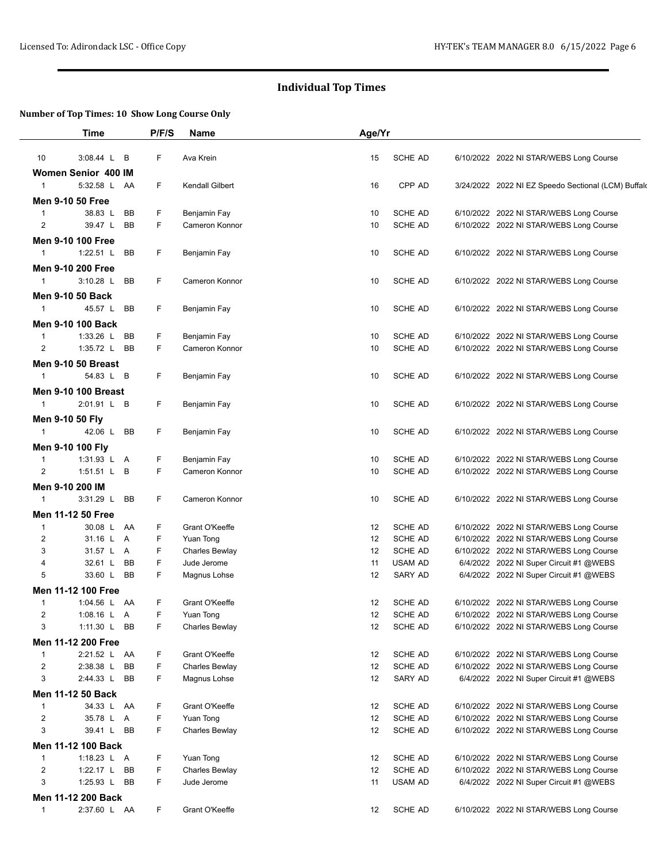|                | <b>Time</b>                             | P/F/S           | <b>Name</b>     | Age/Yr |                |                                                     |
|----------------|-----------------------------------------|-----------------|-----------------|--------|----------------|-----------------------------------------------------|
| 10             | 3:08.44 L B                             | F               | Ava Krein       | 15     | <b>SCHE AD</b> | 6/10/2022 2022 NI STAR/WEBS Long Course             |
|                | Women Senior 400 IM                     |                 |                 |        |                |                                                     |
| $\mathbf{1}$   | 5:32.58 L AA                            | F               | Kendall Gilbert | 16     | CPP AD         | 3/24/2022 2022 NI EZ Speedo Sectional (LCM) Buffald |
|                | <b>Men 9-10 50 Free</b>                 |                 |                 |        |                |                                                     |
| $\mathbf{1}$   | 38.83 L                                 | F<br>BB         | Benjamin Fay    | 10     | SCHE AD        | 6/10/2022 2022 NI STAR/WEBS Long Course             |
| $\overline{2}$ | 39.47 L                                 | F.<br><b>BB</b> | Cameron Konnor  | 10     | SCHE AD        | 6/10/2022 2022 NI STAR/WEBS Long Course             |
|                | <b>Men 9-10 100 Free</b>                |                 |                 |        |                |                                                     |
| $\mathbf{1}$   | 1:22.51 $L$                             | F<br><b>BB</b>  | Benjamin Fay    | 10     | SCHE AD        | 6/10/2022 2022 NI STAR/WEBS Long Course             |
|                | <b>Men 9-10 200 Free</b>                |                 |                 |        |                |                                                     |
| 1              | $3:10.28$ L                             | F<br><b>BB</b>  | Cameron Konnor  | 10     | <b>SCHE AD</b> | 6/10/2022 2022 NI STAR/WEBS Long Course             |
|                | <b>Men 9-10 50 Back</b>                 |                 |                 |        |                |                                                     |
| $\mathbf{1}$   | 45.57 L                                 | BB<br>F         | Benjamin Fay    | 10     | <b>SCHE AD</b> | 6/10/2022 2022 NI STAR/WEBS Long Course             |
|                |                                         |                 |                 |        |                |                                                     |
| $\mathbf{1}$   | <b>Men 9-10 100 Back</b><br>1:33.26 $L$ | F<br><b>BB</b>  | Benjamin Fay    | 10     | SCHE AD        | 6/10/2022 2022 NI STAR/WEBS Long Course             |
| 2              | 1:35.72 $L$                             | F.<br>BB        | Cameron Konnor  | 10     | <b>SCHE AD</b> | 6/10/2022 2022 NI STAR/WEBS Long Course             |
|                |                                         |                 |                 |        |                |                                                     |
|                | <b>Men 9-10 50 Breast</b>               |                 |                 |        |                |                                                     |
| $\mathbf{1}$   | 54.83 L B                               | F               | Benjamin Fay    | 10     | <b>SCHE AD</b> | 6/10/2022 2022 NI STAR/WEBS Long Course             |
|                | <b>Men 9-10 100 Breast</b>              |                 |                 |        |                |                                                     |
| 1              | 2:01.91 L B                             | F               | Benjamin Fay    | 10     | <b>SCHE AD</b> | 6/10/2022 2022 NI STAR/WEBS Long Course             |
|                | Men 9-10 50 Fly                         |                 |                 |        |                |                                                     |
| $\mathbf{1}$   | 42.06 L                                 | F<br>BB         | Benjamin Fay    | 10     | SCHE AD        | 6/10/2022 2022 NI STAR/WEBS Long Course             |
|                | Men 9-10 100 Fly                        |                 |                 |        |                |                                                     |
| $\mathbf{1}$   | 1:31.93 L A                             | F               | Benjamin Fay    | 10     | SCHE AD        | 6/10/2022 2022 NI STAR/WEBS Long Course             |
| 2              | 1:51.51 L B                             | F               | Cameron Konnor  | 10     | <b>SCHE AD</b> | 6/10/2022 2022 NI STAR/WEBS Long Course             |
|                | Men 9-10 200 IM                         |                 |                 |        |                |                                                     |
| $\mathbf{1}$   | $3:31.29$ L                             | F<br><b>BB</b>  | Cameron Konnor  | 10     | SCHE AD        | 6/10/2022 2022 NI STAR/WEBS Long Course             |
|                | Men 11-12 50 Free                       |                 |                 |        |                |                                                     |
| $\mathbf{1}$   | 30.08 L AA                              | F               | Grant O'Keeffe  | 12     | SCHE AD        | 6/10/2022 2022 NI STAR/WEBS Long Course             |
| $\overline{c}$ | 31.16 L A                               | F               | Yuan Tong       | 12     | SCHE AD        | 6/10/2022 2022 NI STAR/WEBS Long Course             |
| 3              | 31.57 L A                               | F               | Charles Bewlay  | 12     | SCHE AD        | 6/10/2022 2022 NI STAR/WEBS Long Course             |
| 4              | 32.61 L                                 | F<br>BB         | Jude Jerome     | 11     | <b>USAM AD</b> | 6/4/2022 2022 NI Super Circuit #1 @WEBS             |
| 5              | 33.60 L                                 | F.<br><b>BB</b> | Magnus Lohse    | 12     | SARY AD        | 6/4/2022 2022 NI Super Circuit #1 @WEBS             |
|                | Men 11-12 100 Free                      |                 |                 |        |                |                                                     |
| $\mathbf{1}$   | 1:04.56 L AA                            | F               | Grant O'Keeffe  | 12     | <b>SCHE AD</b> | 6/10/2022 2022 NI STAR/WEBS Long Course             |
| 2              | 1:08.16 L A                             | F               | Yuan Tong       | 12     | <b>SCHE AD</b> | 6/10/2022 2022 NI STAR/WEBS Long Course             |
| 3              | 1:11.30 L BB                            | F               | Charles Bewlay  | 12     | SCHE AD        | 6/10/2022 2022 NI STAR/WEBS Long Course             |
|                | Men 11-12 200 Free                      |                 |                 |        |                |                                                     |
| $\mathbf{1}$   | 2:21.52 L AA                            | F               | Grant O'Keeffe  | 12     | SCHE AD        | 6/10/2022 2022 NI STAR/WEBS Long Course             |
| 2              | 2:38.38 L                               | F<br>BB         | Charles Bewlay  | 12     | SCHE AD        | 6/10/2022 2022 NI STAR/WEBS Long Course             |
| 3              | 2:44.33 L                               | F<br>BB         | Magnus Lohse    | 12     | SARY AD        | 6/4/2022 2022 NI Super Circuit #1 @WEBS             |
|                | Men 11-12 50 Back                       |                 |                 |        |                |                                                     |
| 1              | 34.33 L AA                              | F               | Grant O'Keeffe  | 12     | SCHE AD        | 6/10/2022 2022 NI STAR/WEBS Long Course             |
| $\overline{2}$ | 35.78 L A                               | F               | Yuan Tong       | 12     | SCHE AD        | 6/10/2022 2022 NI STAR/WEBS Long Course             |
| 3              | 39.41 L                                 | F<br>BB         | Charles Bewlay  | 12     | SCHE AD        | 6/10/2022 2022 NI STAR/WEBS Long Course             |
|                | Men 11-12 100 Back                      |                 |                 |        |                |                                                     |
| 1              | 1:18.23 L A                             | F               | Yuan Tong       | 12     | SCHE AD        | 6/10/2022 2022 NI STAR/WEBS Long Course             |
| $\overline{2}$ | 1:22.17 L BB                            | F               | Charles Bewlay  | 12     | SCHE AD        | 6/10/2022 2022 NI STAR/WEBS Long Course             |
| 3              | 1:25.93 L BB                            | F               | Jude Jerome     | 11     | <b>USAM AD</b> | 6/4/2022 2022 NI Super Circuit #1 @WEBS             |
|                | Men 11-12 200 Back                      |                 |                 |        |                |                                                     |
| $\mathbf{1}$   | 2:37.60 L AA                            | F               | Grant O'Keeffe  | 12     | SCHE AD        | 6/10/2022 2022 NI STAR/WEBS Long Course             |
|                |                                         |                 |                 |        |                |                                                     |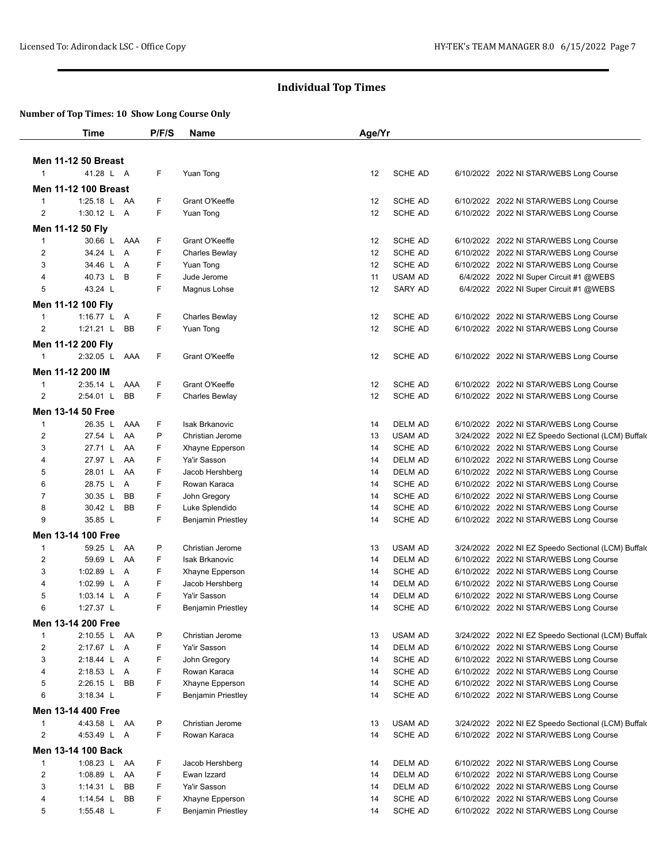|                     | <b>Time</b>                             | P/F/S  | Name                             | Age/Yr   |                           |                                                                                    |
|---------------------|-----------------------------------------|--------|----------------------------------|----------|---------------------------|------------------------------------------------------------------------------------|
|                     |                                         |        |                                  |          |                           |                                                                                    |
| $\mathbf{1}$        | <b>Men 11-12 50 Breast</b><br>41.28 L A | F      | Yuan Tong                        | 12       | SCHE AD                   | 6/10/2022 2022 NI STAR/WEBS Long Course                                            |
|                     | <b>Men 11-12 100 Breast</b>             |        |                                  |          |                           |                                                                                    |
| $\mathbf{1}$        | 1:25.18 L AA                            | F      | Grant O'Keeffe                   | 12       | SCHE AD                   | 6/10/2022 2022 NI STAR/WEBS Long Course                                            |
| $\overline{2}$      | 1:30.12 L A                             | F      | Yuan Tong                        | 12       | SCHE AD                   | 6/10/2022 2022 NI STAR/WEBS Long Course                                            |
|                     |                                         |        |                                  |          |                           |                                                                                    |
|                     | Men 11-12 50 Fly<br>30.66 L AAA         |        |                                  |          | SCHE AD                   |                                                                                    |
| 1<br>$\overline{2}$ | 34.24 L A                               | F<br>F | Grant O'Keeffe<br>Charles Bewlay | 12<br>12 | SCHE AD                   | 6/10/2022 2022 NI STAR/WEBS Long Course<br>6/10/2022 2022 NI STAR/WEBS Long Course |
| 3                   | 34.46 L A                               | F      | Yuan Tong                        | 12       | SCHE AD                   | 6/10/2022 2022 NI STAR/WEBS Long Course                                            |
| 4                   | 40.73 L B                               | F      | Jude Jerome                      | 11       | <b>USAM AD</b>            | 6/4/2022 2022 NI Super Circuit #1 @WEBS                                            |
| 5                   | 43.24 L                                 | F      | Magnus Lohse                     | 12       | SARY AD                   | 6/4/2022 2022 NI Super Circuit #1 @WEBS                                            |
|                     |                                         |        |                                  |          |                           |                                                                                    |
| 1                   | Men 11-12 100 Fly<br>1:16.77 $L$ A      | F      | Charles Bewlay                   | 12       | <b>SCHE AD</b>            | 6/10/2022 2022 NI STAR/WEBS Long Course                                            |
| 2                   | 1:21.21 $L$<br><b>BB</b>                | F      | Yuan Tong                        | 12       | SCHE AD                   | 6/10/2022 2022 NI STAR/WEBS Long Course                                            |
|                     |                                         |        |                                  |          |                           |                                                                                    |
|                     | Men 11-12 200 Fly                       |        |                                  |          |                           |                                                                                    |
| $\mathbf{1}$        | 2:32.05 L AAA                           | F      | Grant O'Keeffe                   | 12       | <b>SCHE AD</b>            | 6/10/2022 2022 NI STAR/WEBS Long Course                                            |
|                     | Men 11-12 200 IM                        |        |                                  |          |                           |                                                                                    |
| $\mathbf{1}$        | $2:35.14$ L<br>AAA                      | F      | Grant O'Keeffe                   | 12       | <b>SCHE AD</b>            | 6/10/2022 2022 NI STAR/WEBS Long Course                                            |
| 2                   | $2:54.01$ L<br><b>BB</b>                | F      | Charles Bewlay                   | 12       | SCHE AD                   | 6/10/2022 2022 NI STAR/WEBS Long Course                                            |
|                     | Men 13-14 50 Free                       |        |                                  |          |                           |                                                                                    |
| $\mathbf{1}$        | 26.35 L<br>AAA                          | F      | Isak Brkanovic                   | 14       | DELM AD                   | 6/10/2022 2022 NI STAR/WEBS Long Course                                            |
| $\overline{2}$      | 27.54 L<br>AA                           | P      | Christian Jerome                 | 13       | <b>USAM AD</b>            | 3/24/2022 2022 NI EZ Speedo Sectional (LCM) Buffald                                |
| 3                   | 27.71 L AA                              | F      | Xhayne Epperson                  | 14       | SCHE AD                   | 6/10/2022 2022 NI STAR/WEBS Long Course                                            |
| 4                   | 27.97 L<br>AA                           | F      | Ya'ir Sasson                     | 14       | <b>DELM AD</b>            | 6/10/2022 2022 NI STAR/WEBS Long Course                                            |
| 5                   | 28.01 L<br>AA                           | F      | Jacob Hershberg                  | 14       | <b>DELM AD</b>            | 6/10/2022 2022 NI STAR/WEBS Long Course                                            |
| 6                   | 28.75 L A                               | F      | Rowan Karaca                     | 14       | SCHE AD                   | 6/10/2022 2022 NI STAR/WEBS Long Course                                            |
| $\overline{7}$      | 30.35 L<br><b>BB</b>                    | F      | John Gregory                     | 14       | SCHE AD                   | 6/10/2022 2022 NI STAR/WEBS Long Course                                            |
| 8                   | 30.42 L<br><b>BB</b>                    | F      | Luke Splendido                   | 14       | SCHE AD                   | 6/10/2022 2022 NI STAR/WEBS Long Course                                            |
| 9                   | 35.85 L                                 | F      | <b>Benjamin Priestley</b>        | 14       | SCHE AD                   | 6/10/2022 2022 NI STAR/WEBS Long Course                                            |
|                     | Men 13-14 100 Free                      |        |                                  |          |                           |                                                                                    |
| $\mathbf{1}$        | 59.25 L AA                              | P      | Christian Jerome                 | 13       | <b>USAM AD</b>            | 3/24/2022 2022 NI EZ Speedo Sectional (LCM) Buffald                                |
| 2                   | 59.69 L AA                              | F      | Isak Brkanovic                   | 14       | DELM AD                   | 6/10/2022 2022 NI STAR/WEBS Long Course                                            |
| 3                   | 1:02.89 L A                             | F<br>F | Xhayne Epperson                  | 14       | SCHE AD<br><b>DELM AD</b> | 6/10/2022 2022 NI STAR/WEBS Long Course                                            |
| 4<br>5              | 1:02.99 L A<br>1:03.14 L A              | F      | Jacob Hershberg<br>Ya'ir Sasson  | 14<br>14 | DELM AD                   | 6/10/2022 2022 NI STAR/WEBS Long Course<br>6/10/2022 2022 NI STAR/WEBS Long Course |
| 6                   | 1:27.37 L                               | F      | <b>Benjamin Priestley</b>        | 14       | <b>SCHE AD</b>            | 6/10/2022 2022 NI STAR/WEBS Long Course                                            |
|                     |                                         |        |                                  |          |                           |                                                                                    |
|                     | Men 13-14 200 Free                      |        |                                  |          |                           |                                                                                    |
| 1<br>2              | 2:10.55 L AA<br>2:17.67 L A             | P<br>F | Christian Jerome                 | 13       | USAM AD<br><b>DELM AD</b> | 3/24/2022 2022 NI EZ Speedo Sectional (LCM) Buffald                                |
| 3                   | 2:18.44 L A                             | F      | Ya'ir Sasson<br>John Gregory     | 14<br>14 | SCHE AD                   | 6/10/2022 2022 NI STAR/WEBS Long Course<br>6/10/2022 2022 NI STAR/WEBS Long Course |
| 4                   | 2:18.53 L A                             | F      | Rowan Karaca                     | 14       | SCHE AD                   | 6/10/2022 2022 NI STAR/WEBS Long Course                                            |
| 5                   | 2:26.15 L BB                            | F      | Xhayne Epperson                  | 14       | SCHE AD                   | 6/10/2022 2022 NI STAR/WEBS Long Course                                            |
| 6                   | 3:18.34 L                               | F      | <b>Benjamin Priestley</b>        | 14       | SCHE AD                   | 6/10/2022 2022 NI STAR/WEBS Long Course                                            |
|                     | Men 13-14 400 Free                      |        |                                  |          |                           |                                                                                    |
| 1                   | 4:43.58 L AA                            | P      | Christian Jerome                 | 13       | <b>USAM AD</b>            | 3/24/2022 2022 NI EZ Speedo Sectional (LCM) Buffald                                |
| 2                   | 4:53.49 L A                             | F      | Rowan Karaca                     | 14       | <b>SCHE AD</b>            | 6/10/2022 2022 NI STAR/WEBS Long Course                                            |
|                     |                                         |        |                                  |          |                           |                                                                                    |
|                     | Men 13-14 100 Back                      |        |                                  |          |                           |                                                                                    |
| 1                   | 1:08.23 L AA                            | F      | Jacob Hershberg                  | 14       | DELM AD                   | 6/10/2022 2022 NI STAR/WEBS Long Course                                            |
| 2<br>3              | 1:08.89 L AA<br>BB                      | F<br>F | Ewan Izzard<br>Ya'ir Sasson      | 14       | DELM AD<br>DELM AD        | 6/10/2022 2022 NI STAR/WEBS Long Course                                            |
| 4                   | 1:14.31 $L$<br>1:14.54 $L$<br>BB        | F      | Xhayne Epperson                  | 14<br>14 | SCHE AD                   | 6/10/2022 2022 NI STAR/WEBS Long Course<br>6/10/2022 2022 NI STAR/WEBS Long Course |
| 5                   | 1:55.48 L                               | F      | <b>Benjamin Priestley</b>        | 14       | SCHE AD                   | 6/10/2022 2022 NI STAR/WEBS Long Course                                            |
|                     |                                         |        |                                  |          |                           |                                                                                    |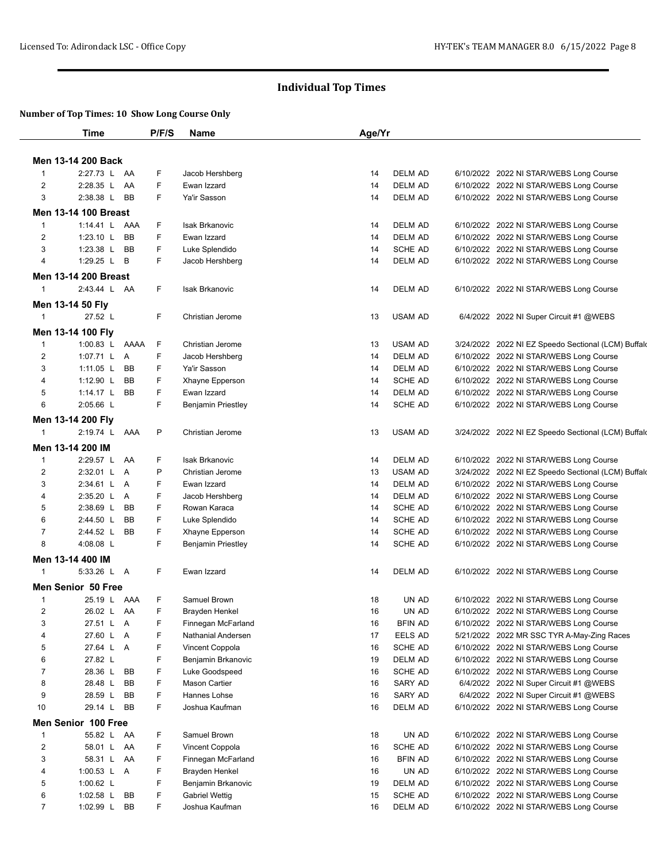|                              | <b>Time</b>                           | P/F/S  | <b>Name</b>                              | Age/Yr   |                           |                                                                                    |
|------------------------------|---------------------------------------|--------|------------------------------------------|----------|---------------------------|------------------------------------------------------------------------------------|
|                              |                                       |        |                                          |          |                           |                                                                                    |
| 1                            | Men 13-14 200 Back<br>2:27.73 L AA    | F      | Jacob Hershberg                          | 14       | <b>DELM AD</b>            | 6/10/2022 2022 NI STAR/WEBS Long Course                                            |
| 2                            | 2:28.35 L<br>AA                       | F      | Ewan Izzard                              | 14       | <b>DELM AD</b>            | 6/10/2022 2022 NI STAR/WEBS Long Course                                            |
| 3                            | 2:38.38 L<br><b>BB</b>                | F      | Ya'ir Sasson                             | 14       | <b>DELM AD</b>            | 6/10/2022 2022 NI STAR/WEBS Long Course                                            |
|                              | <b>Men 13-14 100 Breast</b>           |        |                                          |          |                           |                                                                                    |
| 1                            | 1:14.41 L AAA                         | F      | Isak Brkanovic                           | 14       | <b>DELM AD</b>            | 6/10/2022 2022 NI STAR/WEBS Long Course                                            |
| 2                            | $1:23.10$ L<br><b>BB</b>              | F      | Ewan Izzard                              | 14       | <b>DELM AD</b>            | 6/10/2022 2022 NI STAR/WEBS Long Course                                            |
| 3                            | 1:23.38 L BB                          | F      | Luke Splendido                           | 14       | <b>SCHE AD</b>            | 6/10/2022 2022 NI STAR/WEBS Long Course                                            |
| 4                            | 1:29.25 $L$<br>B                      | F      | Jacob Hershberg                          | 14       | <b>DELM AD</b>            | 6/10/2022 2022 NI STAR/WEBS Long Course                                            |
|                              | <b>Men 13-14 200 Breast</b>           |        |                                          |          |                           |                                                                                    |
| $\mathbf{1}$                 | 2:43.44 L AA                          | F      | <b>Isak Brkanovic</b>                    | 14       | <b>DELM AD</b>            | 6/10/2022 2022 NI STAR/WEBS Long Course                                            |
|                              | Men 13-14 50 Fly                      |        |                                          |          |                           |                                                                                    |
| 1                            | 27.52 L                               | F      | Christian Jerome                         | 13       | <b>USAM AD</b>            |                                                                                    |
|                              |                                       |        |                                          |          |                           | 6/4/2022 2022 NI Super Circuit #1 @WEBS                                            |
|                              | Men 13-14 100 Fly                     |        |                                          |          |                           |                                                                                    |
| 1                            | 1:00.83 L AAAA                        | F      | Christian Jerome                         | 13       | <b>USAM AD</b>            | 3/24/2022 2022 NI EZ Speedo Sectional (LCM) Buffald                                |
| 2                            | 1:07.71 L A                           | F      | Jacob Hershberg                          | 14       | <b>DELM AD</b>            | 6/10/2022 2022 NI STAR/WEBS Long Course                                            |
| 3                            | 1:11.05 $L$<br><b>BB</b>              | F      | Ya'ir Sasson                             | 14       | <b>DELM AD</b>            | 6/10/2022 2022 NI STAR/WEBS Long Course                                            |
| 4                            | 1:12.90 $L$<br><b>BB</b><br><b>BB</b> | F<br>F | Xhayne Epperson                          | 14       | <b>SCHE AD</b>            | 6/10/2022 2022 NI STAR/WEBS Long Course<br>6/10/2022 2022 NI STAR/WEBS Long Course |
| 5<br>6                       | 1:14.17 $L$<br>2:05.66 L              | F      | Ewan Izzard<br><b>Benjamin Priestley</b> | 14<br>14 | DELM AD<br><b>SCHE AD</b> | 6/10/2022 2022 NI STAR/WEBS Long Course                                            |
|                              |                                       |        |                                          |          |                           |                                                                                    |
|                              | Men 13-14 200 Fly                     |        |                                          |          |                           |                                                                                    |
| $\mathbf{1}$                 | 2:19.74 L AAA                         | P      | Christian Jerome                         | 13       | <b>USAM AD</b>            | 3/24/2022 2022 NI EZ Speedo Sectional (LCM) Buffald                                |
|                              | Men 13-14 200 IM                      |        |                                          |          |                           |                                                                                    |
| 1                            | 2:29.57 L AA                          | F      | <b>Isak Brkanovic</b>                    | 14       | <b>DELM AD</b>            | 6/10/2022 2022 NI STAR/WEBS Long Course                                            |
| 2                            | 2:32.01 L A                           | P      | Christian Jerome                         | 13       | <b>USAM AD</b>            | 3/24/2022 2022 NI EZ Speedo Sectional (LCM) Buffald                                |
| 3                            | 2:34.61 L A                           | F      | Ewan Izzard                              | 14       | <b>DELM AD</b>            | 6/10/2022 2022 NI STAR/WEBS Long Course                                            |
| 4                            | 2:35.20 L A                           | F      | Jacob Hershberg                          | 14       | <b>DELM AD</b>            | 6/10/2022 2022 NI STAR/WEBS Long Course                                            |
| 5                            | 2:38.69 L BB                          | F      | Rowan Karaca                             | 14       | <b>SCHE AD</b>            | 6/10/2022 2022 NI STAR/WEBS Long Course                                            |
| 6                            | 2:44.50 L<br><b>BB</b>                | F      | Luke Splendido                           | 14       | <b>SCHE AD</b>            | 6/10/2022 2022 NI STAR/WEBS Long Course                                            |
| $\overline{7}$<br>8          | 2:44.52 L<br><b>BB</b>                | F<br>F | Xhayne Epperson                          | 14       | <b>SCHE AD</b>            | 6/10/2022 2022 NI STAR/WEBS Long Course                                            |
|                              | 4:08.08 L                             |        | <b>Benjamin Priestley</b>                | 14       | <b>SCHE AD</b>            | 6/10/2022 2022 NI STAR/WEBS Long Course                                            |
|                              | Men 13-14 400 IM                      |        |                                          |          |                           |                                                                                    |
| 1                            | 5:33.26 L A                           | F      | Ewan Izzard                              | 14       | DELM AD                   | 6/10/2022 2022 NI STAR/WEBS Long Course                                            |
|                              | <b>Men Senior 50 Free</b>             |        |                                          |          |                           |                                                                                    |
| 1                            | 25.19 L AAA                           | F      | Samuel Brown                             | 18       | UN AD                     | 6/10/2022 2022 NI STAR/WEBS Long Course                                            |
| 2                            | 26.02 L AA                            | F      | Brayden Henkel                           | 16       | UN AD                     | 6/10/2022 2022 NI STAR/WEBS Long Course                                            |
| 3                            | 27.51 L A                             | F      | Finnegan McFarland                       | 16       | <b>BFIN AD</b>            | 6/10/2022 2022 NI STAR/WEBS Long Course                                            |
| 4                            | 27.60 L A                             | F      | Nathanial Andersen                       | 17       | EELS AD                   | 5/21/2022 2022 MR SSC TYR A-May-Zing Races                                         |
| 5                            | 27.64 L A                             | F      | Vincent Coppola                          | 16       | SCHE AD<br><b>DELM AD</b> | 6/10/2022 2022 NI STAR/WEBS Long Course                                            |
| 6<br>$\boldsymbol{7}$        | 27.82 L<br>28.36 L<br>BB              | F<br>F | Benjamin Brkanovic<br>Luke Goodspeed     | 19<br>16 | SCHE AD                   | 6/10/2022 2022 NI STAR/WEBS Long Course                                            |
| 8                            | 28.48 L<br>BB                         | F      | Mason Cartier                            | 16       | SARY AD                   | 6/10/2022 2022 NI STAR/WEBS Long Course<br>6/4/2022 2022 NI Super Circuit #1 @WEBS |
| 9                            | 28.59 L<br>BB                         | F      | Hannes Lohse                             | 16       | SARY AD                   | 6/4/2022 2022 NI Super Circuit #1 @WEBS                                            |
| 10                           | 29.14 L<br>BB                         | F      | Joshua Kaufman                           | 16       | <b>DELM AD</b>            | 6/10/2022 2022 NI STAR/WEBS Long Course                                            |
|                              | <b>Men Senior 100 Free</b>            |        |                                          |          |                           |                                                                                    |
|                              |                                       |        |                                          |          |                           |                                                                                    |
| 1                            | 55.82 L AA                            | F      | Samuel Brown                             | 18       | UN AD                     | 6/10/2022 2022 NI STAR/WEBS Long Course                                            |
| $\overline{\mathbf{c}}$<br>3 | 58.01 L AA<br>58.31 L AA              | F<br>F | Vincent Coppola                          | 16       | SCHE AD                   | 6/10/2022 2022 NI STAR/WEBS Long Course                                            |
| 4                            | 1:00.53 L A                           | F      | Finnegan McFarland                       | 16<br>16 | <b>BFIN AD</b><br>UN AD   | 6/10/2022 2022 NI STAR/WEBS Long Course                                            |
| 5                            | 1:00.62 $L$                           | F      | Brayden Henkel<br>Benjamin Brkanovic     | 19       | DELM AD                   | 6/10/2022 2022 NI STAR/WEBS Long Course<br>6/10/2022 2022 NI STAR/WEBS Long Course |
| 6                            | 1:02.58 $L$<br>BB                     | F      | <b>Gabriel Wettig</b>                    | 15       | SCHE AD                   | 6/10/2022 2022 NI STAR/WEBS Long Course                                            |
| $\overline{7}$               | 1:02.99 L<br>BB                       | F      | Joshua Kaufman                           | 16       | DELM AD                   | 6/10/2022 2022 NI STAR/WEBS Long Course                                            |
|                              |                                       |        |                                          |          |                           |                                                                                    |